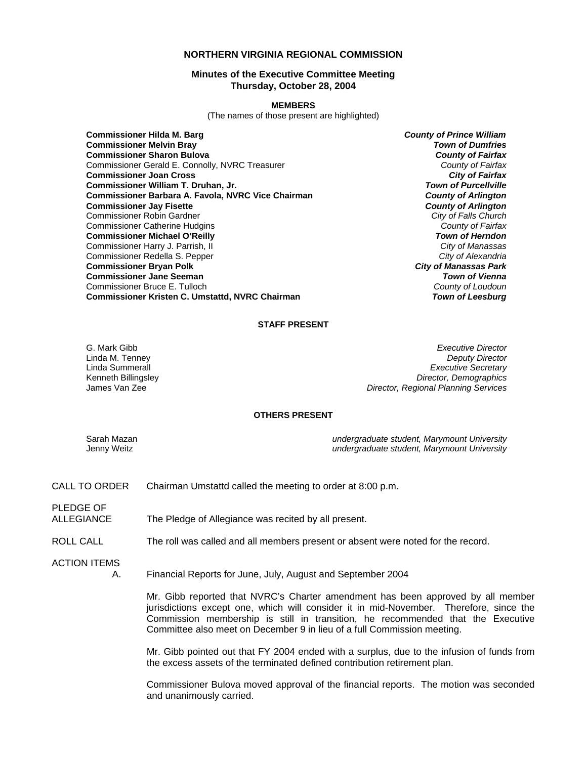## **NORTHERN VIRGINIA REGIONAL COMMISSION**

## **Minutes of the Executive Committee Meeting Thursday, October 28, 2004**

#### **MEMBERS**

(The names of those present are highlighted)

**Commissioner Hilda M. Barg** *County of Prince William* **Commissioner Melvin Bray** *Town of Dumfries* **Commissioner Sharon Bulova** *County of Fairfax* Commissioner Gerald E. Connolly, NVRC Treasurer *County of Fairfax* **Commissioner Joan Cross** *City of Fairfax* **Commissioner William T. Druhan, Jr. Commissioner Barbara A. Favola, NVRC Vice Chairman** *County of Arlington* **Commissioner Jay Fisette** *County of Arlington* Commissioner Robin Gardner *City of Falls Church* Commissioner Catherine Hudgins *County of Fairfax* **Commissioner Michael O'Reilly** *Town of Herndon* Commissioner Harry J. Parrish, II *City of Manassas* Commissioner Redella S. Pepper *City of Alexandria* **Commissioner Bryan Polk** *City of Manassas Park* **Commissioner Jane Seeman** *Town of Vienna* Commissioner Bruce E. Tulloch *County of Loudoun* **Commissioner Kristen C. Umstattd, NVRC Chairman** 

#### **STAFF PRESENT**

Linda M. Tenney

G. Mark Gibb *Executive Director* Linda Summerall *Executive Secretary* Kenneth Billingsley *Director, Demographics* James Van Zee *Director, Regional Planning Services*

### **OTHERS PRESENT**

Sarah Mazan *undergraduate student, Marymount University* Jenny Weitz *undergraduate student, Marymount University*

- CALL TO ORDER Chairman Umstattd called the meeting to order at 8:00 p.m.
- ALLEGIANCE The Pledge of Allegiance was recited by all present.
- ROLL CALL The roll was called and all members present or absent were noted for the record.

ACTION ITEMS

PLEDGE OF

A. Financial Reports for June, July, August and September 2004

Mr. Gibb reported that NVRC's Charter amendment has been approved by all member jurisdictions except one, which will consider it in mid-November. Therefore, since the Commission membership is still in transition, he recommended that the Executive Committee also meet on December 9 in lieu of a full Commission meeting.

Mr. Gibb pointed out that FY 2004 ended with a surplus, due to the infusion of funds from the excess assets of the terminated defined contribution retirement plan.

Commissioner Bulova moved approval of the financial reports. The motion was seconded and unanimously carried.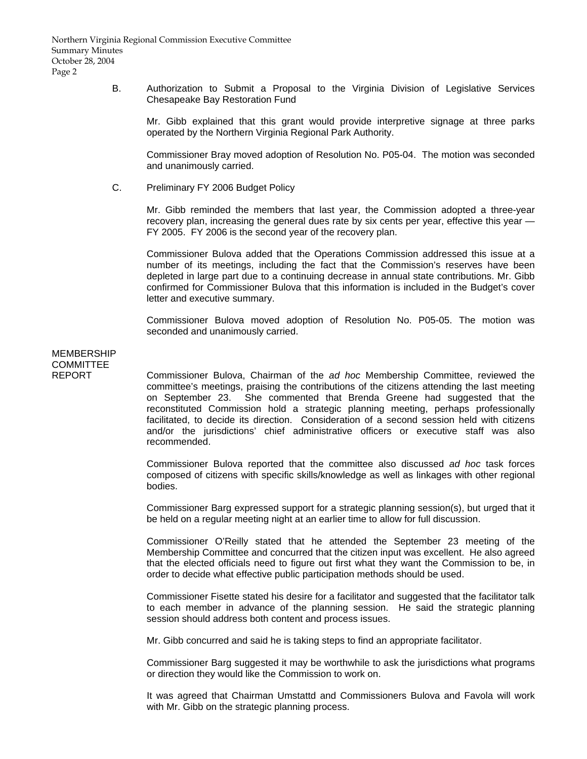B. Authorization to Submit a Proposal to the Virginia Division of Legislative Services Chesapeake Bay Restoration Fund

 Mr. Gibb explained that this grant would provide interpretive signage at three parks operated by the Northern Virginia Regional Park Authority.

 Commissioner Bray moved adoption of Resolution No. P05-04. The motion was seconded and unanimously carried.

C. Preliminary FY 2006 Budget Policy

 Mr. Gibb reminded the members that last year, the Commission adopted a three-year recovery plan, increasing the general dues rate by six cents per year, effective this year -FY 2005. FY 2006 is the second year of the recovery plan.

 Commissioner Bulova added that the Operations Commission addressed this issue at a number of its meetings, including the fact that the Commission's reserves have been depleted in large part due to a continuing decrease in annual state contributions. Mr. Gibb confirmed for Commissioner Bulova that this information is included in the Budget's cover letter and executive summary.

 Commissioner Bulova moved adoption of Resolution No. P05-05. The motion was seconded and unanimously carried.

# MEMBERSHIP COMMITTEE

REPORT Commissioner Bulova, Chairman of the *ad hoc* Membership Committee, reviewed the committee's meetings, praising the contributions of the citizens attending the last meeting on September 23. She commented that Brenda Greene had suggested that the reconstituted Commission hold a strategic planning meeting, perhaps professionally facilitated, to decide its direction. Consideration of a second session held with citizens and/or the jurisdictions' chief administrative officers or executive staff was also recommended.

> Commissioner Bulova reported that the committee also discussed *ad hoc* task forces composed of citizens with specific skills/knowledge as well as linkages with other regional bodies.

> Commissioner Barg expressed support for a strategic planning session(s), but urged that it be held on a regular meeting night at an earlier time to allow for full discussion.

> Commissioner O'Reilly stated that he attended the September 23 meeting of the Membership Committee and concurred that the citizen input was excellent. He also agreed that the elected officials need to figure out first what they want the Commission to be, in order to decide what effective public participation methods should be used.

> Commissioner Fisette stated his desire for a facilitator and suggested that the facilitator talk to each member in advance of the planning session. He said the strategic planning session should address both content and process issues.

Mr. Gibb concurred and said he is taking steps to find an appropriate facilitator.

 Commissioner Barg suggested it may be worthwhile to ask the jurisdictions what programs or direction they would like the Commission to work on.

 It was agreed that Chairman Umstattd and Commissioners Bulova and Favola will work with Mr. Gibb on the strategic planning process.